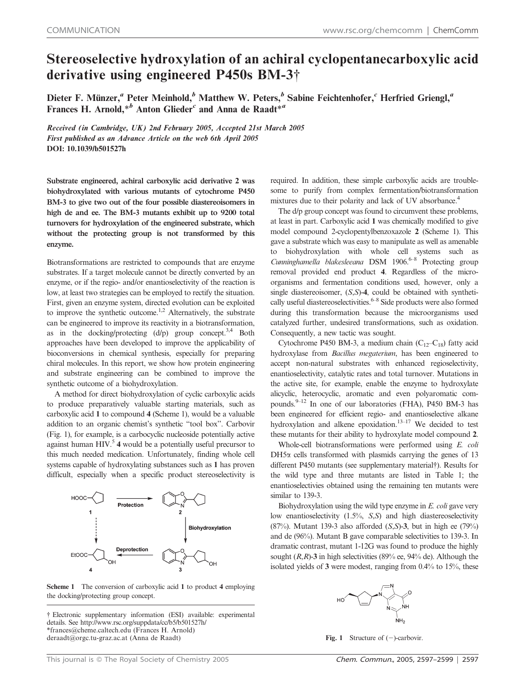## Stereoselective hydroxylation of an achiral cyclopentanecarboxylic acid derivative using engineered P450s BM-3{

Dieter F. Münzer,<sup>a</sup> Peter Meinhold,<sup>b</sup> Matthew W. Peters,<sup>b</sup> Sabine Feichtenhofer,<sup>c</sup> Herfried Griengl,<sup>a</sup> Frances H. Arnold,  $*^b$  Anton Glieder<sup>c</sup> and Anna de Raadt $*^a$ 

Received (in Cambridge, UK) 2nd February 2005, Accepted 21st March 2005 First published as an Advance Article on the web 6th April 2005 DOI: 10.1039/b501527h

Substrate engineered, achiral carboxylic acid derivative 2 was biohydroxylated with various mutants of cytochrome P450 BM-3 to give two out of the four possible diastereoisomers in high de and ee. The BM-3 mutants exhibit up to 9200 total turnovers for hydroxylation of the engineered substrate, which without the protecting group is not transformed by this enzyme.

Biotransformations are restricted to compounds that are enzyme substrates. If a target molecule cannot be directly converted by an enzyme, or if the regio- and/or enantioselectivity of the reaction is low, at least two strategies can be employed to rectify the situation. First, given an enzyme system, directed evolution can be exploited to improve the synthetic outcome.<sup>1,2</sup> Alternatively, the substrate can be engineered to improve its reactivity in a biotransformation, as in the docking/protecting  $(d/p)$  group concept.<sup>3,4</sup> Both approaches have been developed to improve the applicability of bioconversions in chemical synthesis, especially for preparing chiral molecules. In this report, we show how protein engineering and substrate engineering can be combined to improve the synthetic outcome of a biohydroxylation.

A method for direct biohydroxylation of cyclic carboxylic acids to produce preparatively valuable starting materials, such as carboxylic acid 1 to compound 4 (Scheme 1), would be a valuable addition to an organic chemist's synthetic ''tool box''. Carbovir (Fig. 1), for example, is a carbocyclic nucleoside potentially active against human  $HIV<sup>5</sup>$  4 would be a potentially useful precursor to this much needed medication. Unfortunately, finding whole cell systems capable of hydroxylating substances such as 1 has proven difficult, especially when a specific product stereoselectivity is



Scheme 1 The conversion of carboxylic acid 1 to product 4 employing the docking/protecting group concept.

{ Electronic supplementary information (ESI) available: experimental details. See http://www.rsc.org/suppdata/cc/b5/b501527h/ \*frances@cheme.caltech.edu (Frances H. Arnold) deraadt@orgc.tu-graz.ac.at (Anna de Raadt)

required. In addition, these simple carboxylic acids are troublesome to purify from complex fermentation/biotransformation mixtures due to their polarity and lack of UV absorbance.<sup>4</sup>

The d/p group concept was found to circumvent these problems, at least in part. Carboxylic acid 1 was chemically modified to give model compound 2-cyclopentylbenzoxazole 2 (Scheme 1). This gave a substrate which was easy to manipulate as well as amenable to biohydroxylation with whole cell systems such as Cunninghamella blakesleeana DSM 1906.<sup>6-8</sup> Protecting group removal provided end product 4. Regardless of the microorganisms and fermentation conditions used, however, only a single diastereoisomer, (S,S)-4, could be obtained with synthetically useful diastereoselectivities.<sup> $6-8$ </sup> Side products were also formed during this transformation because the microorganisms used catalyzed further, undesired transformations, such as oxidation. Consequently, a new tactic was sought.

Cytochrome P450 BM-3, a medium chain  $(C_{12}-C_{18})$  fatty acid hydroxylase from Bacillus megaterium, has been engineered to accept non-natural substrates with enhanced regioselectivity, enantioselectivity, catalytic rates and total turnover. Mutations in the active site, for example, enable the enzyme to hydroxylate alicyclic, heterocyclic, aromatic and even polyaromatic compounds. $9-12$  In one of our laboratories (FHA), P450 BM-3 has been engineered for efficient regio- and enantioselective alkane hydroxylation and alkene epoxidation. $13-17$  We decided to test these mutants for their ability to hydroxylate model compound 2.

Whole-cell biotransformations were performed using E. coli DH5*a* cells transformed with plasmids carrying the genes of 13 different P450 mutants (see supplementary material†). Results for the wild type and three mutants are listed in Table 1; the enantioselectivies obtained using the remaining ten mutants were similar to 139-3.

Biohydroxylation using the wild type enzyme in E. coli gave very low enantioselectivity (1.5%, S,S) and high diastereoselectivity  $(87%)$ . Mutant 139-3 also afforded  $(S, S)$ -3, but in high ee  $(79%)$ and de (96%). Mutant B gave comparable selectivities to 139-3. In dramatic contrast, mutant 1-12G was found to produce the highly sought  $(R, R)$ -3 in high selectivities (89% ee, 94% de). Although the isolated yields of 3 were modest, ranging from 0.4% to 15%, these



Fig. 1 Structure of  $(-)$ -carbovir.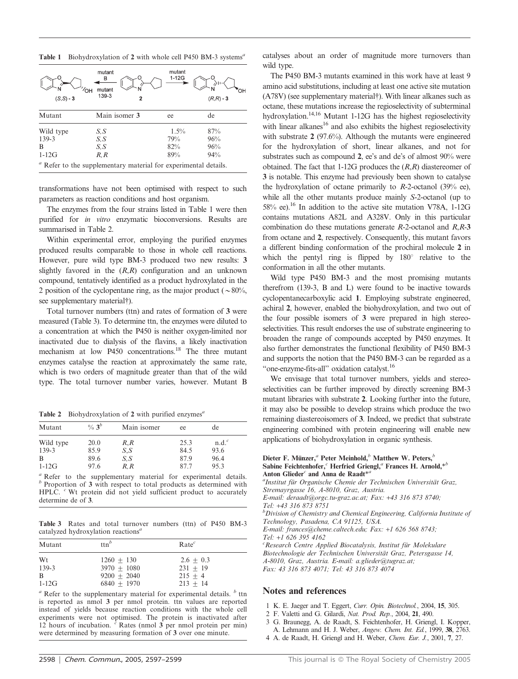Table 1 Biohydroxylation of 2 with whole cell P450 BM-3 systems<sup> $a$ </sup>

| ΌН<br>$(S, S) - 3$ | mutant<br>в<br>mutant<br>139-3<br>2                                        | mutant<br>$1-12G$ | $(R,R) - 3$ |
|--------------------|----------------------------------------------------------------------------|-------------------|-------------|
| Mutant             | Main isomer 3                                                              | ee                | de          |
| Wild type          | S, S                                                                       | $1.5\%$           | 87%         |
| 139-3              | S,S                                                                        | 79%               | 96%         |
| B                  | S,S                                                                        | 82%               | 96%         |
| $1-12G$            | R, R                                                                       | 89%               | 94%         |
|                    | <sup>a</sup> Refer to the supplementary material for experimental details. |                   |             |

transformations have not been optimised with respect to such parameters as reaction conditions and host organism.

The enzymes from the four strains listed in Table 1 were then purified for in vitro enzymatic bioconversions. Results are summarised in Table 2.

Within experimental error, employing the purified enzymes produced results comparable to those in whole cell reactions. However, pure wild type BM-3 produced two new results: 3 slightly favored in the  $(R,R)$  configuration and an unknown compound, tentatively identified as a product hydroxylated in the 2 position of the cyclopentane ring, as the major product ( $\sim 80\%$ , see supplementary material<sup>†</sup>).

Total turnover numbers (ttn) and rates of formation of 3 were measured (Table 3). To determine ttn, the enzymes were diluted to a concentration at which the P450 is neither oxygen-limited nor inactivated due to dialysis of the flavins, a likely inactivation mechanism at low P450 concentrations.<sup>18</sup> The three mutant enzymes catalyse the reaction at approximately the same rate, which is two orders of magnitude greater than that of the wild type. The total turnover number varies, however. Mutant B

Table 2 Biohydroxylation of 2 with purified enzymes<sup> $a$ </sup>

| Mutant    | $\frac{9}{6}$ 3 <sup>b</sup> | Main isomer  | ee   | de       |
|-----------|------------------------------|--------------|------|----------|
| Wild type | 20.0                         | $R_{\cdot}R$ | 25.3 | $n.d.^c$ |
| 139-3     | 85.9                         | S,S          | 84.5 | 93.6     |
| B         | 89.6                         | S.S          | 87.9 | 96.4     |
| $1-12G$   | 97.6                         | R, R         | 877  | 95.3     |

<sup>*a*</sup> Refer to the supplementary material for experimental details. *b* Proportion of 3 with respect to total products as determined with HPLC. <sup>c</sup> Wt protein did not yield sufficient product to accurately determine de of 3.

Table 3 Rates and total turnover numbers (ttn) of P450 BM-3 catalyzed hydroxylation reactions $\alpha$ 

| Mutant  | $\text{ttn}^b$ | $Rate^c$    |
|---------|----------------|-------------|
| Wt      | $1260 + 130$   | $2.6 + 0.3$ |
| 139-3   | $3970 + 1080$  | $231 + 19$  |
| B       | $9200 + 2040$  | $215 + 4$   |
| $1-12G$ | $6840 + 1970$  | $213 + 14$  |

 $a<sup>a</sup>$  Refer to the supplementary material for experimental details.  $b$  ttn is reported as nmol 3 per nmol protein. ttn values are reported instead of yields because reaction conditions with the whole cell experiments were not optimised. The protein is inactivated after 12 hours of incubation.  $\hat{c}$  Rates (nmol  $\hat{3}$  per nmol protein per min) were determined by measuring formation of 3 over one minute.

catalyses about an order of magnitude more turnovers than wild type.

The P450 BM-3 mutants examined in this work have at least 9 amino acid substitutions, including at least one active site mutation (A78V) (see supplementary material{). With linear alkanes such as octane, these mutations increase the regioselectivity of subterminal hydroxylation.<sup>14,16</sup> Mutant 1-12G has the highest regioselectivity with linear alkanes $^{16}$  and also exhibits the highest regioselectivity with substrate 2 (97.6%). Although the mutants were engineered for the hydroxylation of short, linear alkanes, and not for substrates such as compound 2, ee's and de's of almost 90% were obtained. The fact that  $1-12G$  produces the  $(R,R)$  diastereomer of 3 is notable. This enzyme had previously been shown to catalyse the hydroxylation of octane primarily to  $R$ -2-octanol (39% ee), while all the other mutants produce mainly S-2-octanol (up to 58% ee).16 In addition to the active site mutation V78A, 1-12G contains mutations A82L and A328V. Only in this particular combination do these mutations generate  $R-2$ -octanol and  $R$ , $R-3$ from octane and 2, respectively. Consequently, this mutant favors a different binding conformation of the prochiral molecule 2 in which the pentyl ring is flipped by  $180^\circ$  relative to the conformation in all the other mutants.

Wild type P450 BM-3 and the most promising mutants therefrom (139-3, B and L) were found to be inactive towards cyclopentanecarboxylic acid 1. Employing substrate engineered, achiral 2, however, enabled the biohydroxylation, and two out of the four possible isomers of 3 were prepared in high stereoselectivities. This result endorses the use of substrate engineering to broaden the range of compounds accepted by P450 enzymes. It also further demonstrates the functional flexibility of P450 BM-3 and supports the notion that the P450 BM-3 can be regarded as a "one-enzyme-fits-all" oxidation catalyst.<sup>16</sup>

We envisage that total turnover numbers, yields and stereoselectivities can be further improved by directly screening BM-3 mutant libraries with substrate 2. Looking further into the future, it may also be possible to develop strains which produce the two remaining diastereoisomers of 3. Indeed, we predict that substrate engineering combined with protein engineering will enable new applications of biohydroxylation in organic synthesis.

## Dieter F. Münzer,<sup>*a*</sup> Peter Meinhold,<sup>*b*</sup> Matthew W. Peters,<sup>*b*</sup> Sabine Feichtenhofer, $c$  Herfried Griengl, $a$  Frances H. Arnold, $*^{b}$ Anton Glieder<sup>c</sup> and Anna de Raadt<sup>\*a</sup>

<sup>a</sup>Institut für Organische Chemie der Technischen Universität Graz, Stremayrgasse 16, A-8010, Graz, Austria.

E-mail: deraadt@orgc.tu-graz.ac.at; Fax: +43 316 873 8740; Tel: <sup>+</sup>43 316 873 8751 <sup>b</sup>

 $<sup>b</sup>$ Division of Chemistry and Chemical Engineering, California Institute of</sup> Technology, Pasadena, CA 91125, USA.

E-mail: frances@cheme.caltech.edu; Fax: +1 626 568 8743; Tel: +1 626 395 4162

 ${}^{c}$ Research Centre Applied Biocatalysis, Institut für Molekulare Biotechnologie der Technischen Universität Graz, Petersgasse 14, A-8010, Graz, Austria. E-mail: a.glieder@tugraz.at; Fax: 43 316 873 4071; Tel: 43 316 873 4074

## Notes and references

- 1 K. E. Jaeger and T. Eggert, Curr. Opin. Biotechnol., 2004, 15, 305.
- 2 F. Valetti and G. Gilardi, Nat. Prod. Rep., 2004, 21, 490.
- 3 G. Braunegg, A. de Raadt, S. Feichtenhofer, H. Griengl, I. Kopper, A. Lehmann and H. J. Weber, Angew. Chem. Int. Ed., 1999, 38, 2763.
- 4 A. de Raadt, H. Griengl and H. Weber, Chem. Eur. J., 2001, 7, 27.
-